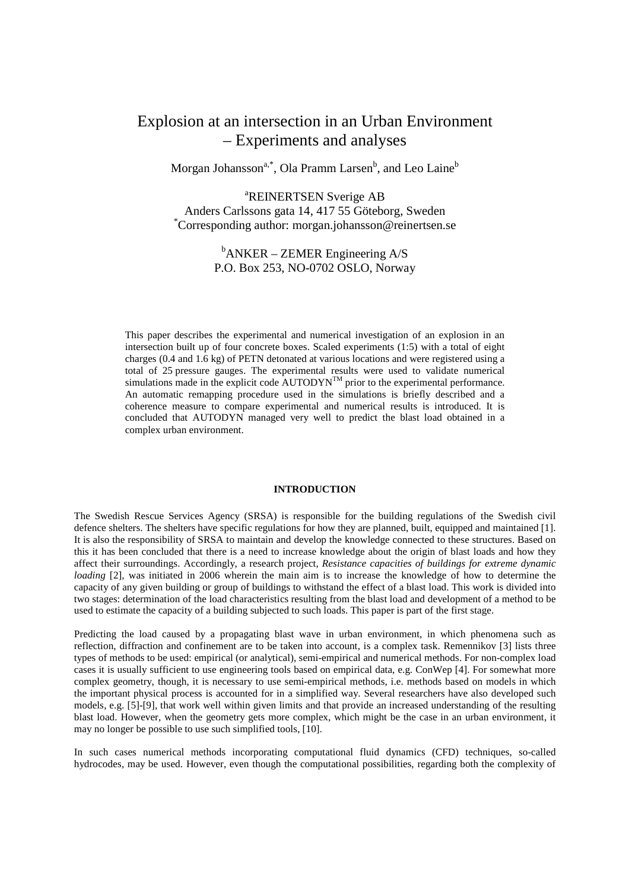# Explosion at an intersection in an Urban Environment – Experiments and analyses

Morgan Johansson $a^*$ , Ola Pramm Larsen $^{\rm b}$ , and Leo Laine $^{\rm b}$ 

<sup>a</sup>REINERTSEN Sverige AB Anders Carlssons gata 14, 417 55 Göteborg, Sweden \*Corresponding author: morgan.johansson@reinertsen.se

> $b$ ANKER – ZEMER Engineering A/S P.O. Box 253, NO-0702 OSLO, Norway

This paper describes the experimental and numerical investigation of an explosion in an intersection built up of four concrete boxes. Scaled experiments (1:5) with a total of eight charges (0.4 and 1.6 kg) of PETN detonated at various locations and were registered using a total of 25 pressure gauges. The experimental results were used to validate numerical simulations made in the explicit code  $\widehat{\text{AUTODYN}}^{\text{TM}}$  prior to the experimental performance. An automatic remapping procedure used in the simulations is briefly described and a coherence measure to compare experimental and numerical results is introduced. It is concluded that AUTODYN managed very well to predict the blast load obtained in a complex urban environment.

## **INTRODUCTION**

The Swedish Rescue Services Agency (SRSA) is responsible for the building regulations of the Swedish civil defence shelters. The shelters have specific regulations for how they are planned, built, equipped and maintained [1]. It is also the responsibility of SRSA to maintain and develop the knowledge connected to these structures. Based on this it has been concluded that there is a need to increase knowledge about the origin of blast loads and how they affect their surroundings. Accordingly, a research project, *Resistance capacities of buildings for extreme dynamic loading* [2], was initiated in 2006 wherein the main aim is to increase the knowledge of how to determine the capacity of any given building or group of buildings to withstand the effect of a blast load. This work is divided into two stages: determination of the load characteristics resulting from the blast load and development of a method to be used to estimate the capacity of a building subjected to such loads. This paper is part of the first stage.

Predicting the load caused by a propagating blast wave in urban environment, in which phenomena such as reflection, diffraction and confinement are to be taken into account, is a complex task. Remennikov [3] lists three types of methods to be used: empirical (or analytical), semi-empirical and numerical methods. For non-complex load cases it is usually sufficient to use engineering tools based on empirical data, e.g. ConWep [4]. For somewhat more complex geometry, though, it is necessary to use semi-empirical methods, i.e. methods based on models in which the important physical process is accounted for in a simplified way. Several researchers have also developed such models, e.g. [5]-[9], that work well within given limits and that provide an increased understanding of the resulting blast load. However, when the geometry gets more complex, which might be the case in an urban environment, it may no longer be possible to use such simplified tools, [10].

In such cases numerical methods incorporating computational fluid dynamics (CFD) techniques, so-called hydrocodes, may be used. However, even though the computational possibilities, regarding both the complexity of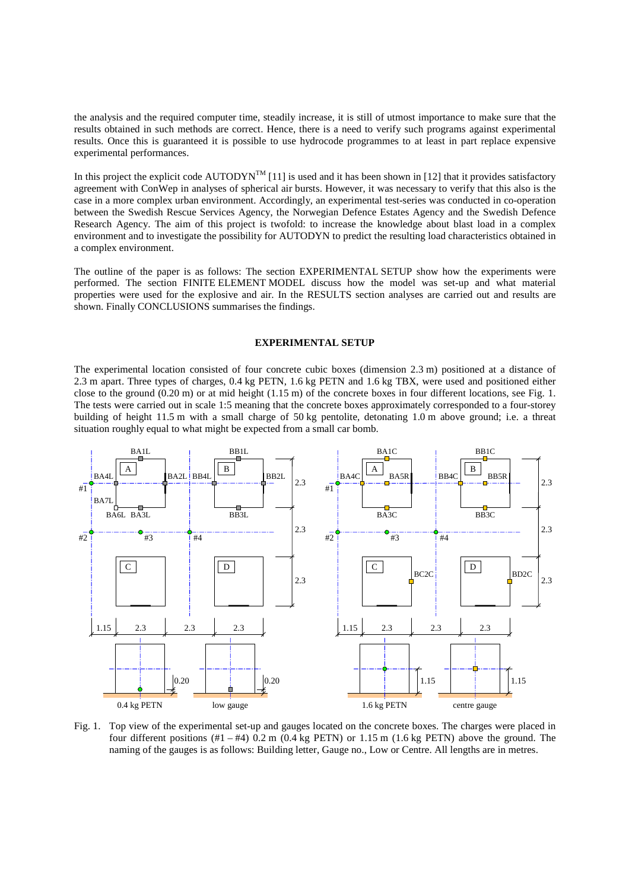the analysis and the required computer time, steadily increase, it is still of utmost importance to make sure that the results obtained in such methods are correct. Hence, there is a need to verify such programs against experimental results. Once this is guaranteed it is possible to use hydrocode programmes to at least in part replace expensive experimental performances.

In this project the explicit code  $\text{AUTODYN}^{\text{TM}}$  [11] is used and it has been shown in [12] that it provides satisfactory agreement with ConWep in analyses of spherical air bursts. However, it was necessary to verify that this also is the case in a more complex urban environment. Accordingly, an experimental test-series was conducted in co-operation between the Swedish Rescue Services Agency, the Norwegian Defence Estates Agency and the Swedish Defence Research Agency. The aim of this project is twofold: to increase the knowledge about blast load in a complex environment and to investigate the possibility for AUTODYN to predict the resulting load characteristics obtained in a complex environment.

The outline of the paper is as follows: The section EXPERIMENTAL SETUP show how the experiments were performed. The section FINITE ELEMENT MODEL discuss how the model was set-up and what material properties were used for the explosive and air. In the RESULTS section analyses are carried out and results are shown. Finally CONCLUSIONS summarises the findings.

# **EXPERIMENTAL SETUP**

The experimental location consisted of four concrete cubic boxes (dimension 2.3 m) positioned at a distance of 2.3 m apart. Three types of charges, 0.4 kg PETN, 1.6 kg PETN and 1.6 kg TBX, were used and positioned either close to the ground (0.20 m) or at mid height (1.15 m) of the concrete boxes in four different locations, see Fig. 1. The tests were carried out in scale 1:5 meaning that the concrete boxes approximately corresponded to a four-storey building of height 11.5 m with a small charge of 50 kg pentolite, detonating 1.0 m above ground; i.e. a threat situation roughly equal to what might be expected from a small car bomb.



Fig. 1. Top view of the experimental set-up and gauges located on the concrete boxes. The charges were placed in four different positions  $(\#1 - \#4)$  0.2 m (0.4 kg PETN) or 1.15 m (1.6 kg PETN) above the ground. The naming of the gauges is as follows: Building letter, Gauge no., Low or Centre. All lengths are in metres.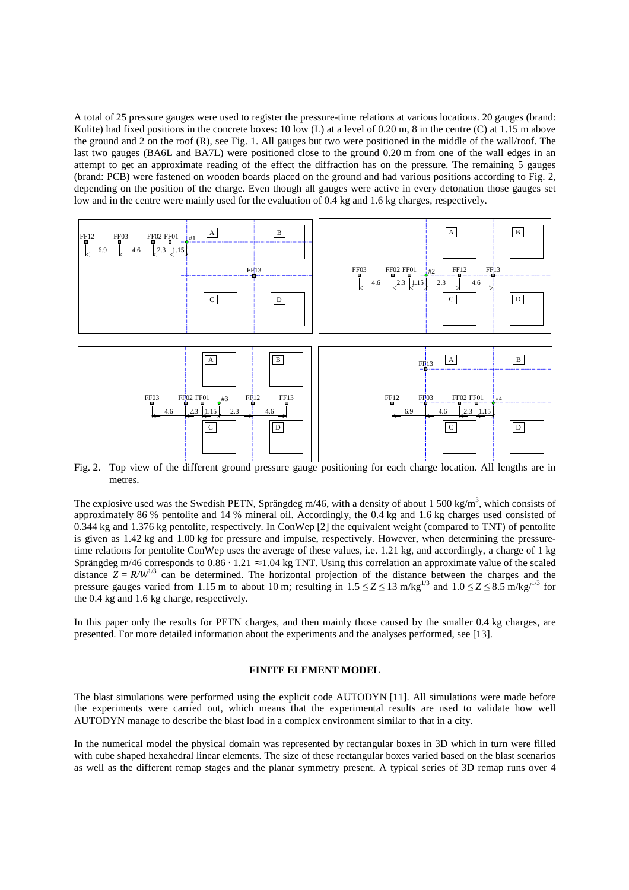A total of 25 pressure gauges were used to register the pressure-time relations at various locations. 20 gauges (brand: Kulite) had fixed positions in the concrete boxes: 10 low (L) at a level of 0.20 m, 8 in the centre (C) at 1.15 m above the ground and 2 on the roof (R), see Fig. 1. All gauges but two were positioned in the middle of the wall/roof. The last two gauges (BA6L and BA7L) were positioned close to the ground 0.20 m from one of the wall edges in an attempt to get an approximate reading of the effect the diffraction has on the pressure. The remaining 5 gauges (brand: PCB) were fastened on wooden boards placed on the ground and had various positions according to Fig. 2, depending on the position of the charge. Even though all gauges were active in every detonation those gauges set low and in the centre were mainly used for the evaluation of 0.4 kg and 1.6 kg charges, respectively.



Fig. 2. Top view of the different ground pressure gauge positioning for each charge location. All lengths are in metres.

The explosive used was the Swedish PETN, Sprängdeg m/46, with a density of about 1 500 kg/m<sup>3</sup>, which consists of approximately 86 % pentolite and 14 % mineral oil. Accordingly, the 0.4 kg and 1.6 kg charges used consisted of 0.344 kg and 1.376 kg pentolite, respectively. In ConWep [2] the equivalent weight (compared to TNT) of pentolite is given as 1.42 kg and 1.00 kg for pressure and impulse, respectively. However, when determining the pressuretime relations for pentolite ConWep uses the average of these values, i.e. 1.21 kg, and accordingly, a charge of 1 kg Sprängdeg m/46 corresponds to  $0.86 \cdot 1.21 \approx 1.04$  kg TNT. Using this correlation an approximate value of the scaled distance  $Z = R/W^{1/3}$  can be determined. The horizontal projection of the distance between the charges and the pressure gauges varied from 1.15 m to about 10 m; resulting in  $1.5 \le Z \le 13$  m/kg<sup>1/3</sup> and  $1.0 \le Z \le 8.5$  m/kg<sup>/1/3</sup> for the 0.4 kg and 1.6 kg charge, respectively.

In this paper only the results for PETN charges, and then mainly those caused by the smaller 0.4 kg charges, are presented. For more detailed information about the experiments and the analyses performed, see [13].

## **FINITE ELEMENT MODEL**

The blast simulations were performed using the explicit code AUTODYN [11]. All simulations were made before the experiments were carried out, which means that the experimental results are used to validate how well AUTODYN manage to describe the blast load in a complex environment similar to that in a city.

In the numerical model the physical domain was represented by rectangular boxes in 3D which in turn were filled with cube shaped hexahedral linear elements. The size of these rectangular boxes varied based on the blast scenarios as well as the different remap stages and the planar symmetry present. A typical series of 3D remap runs over 4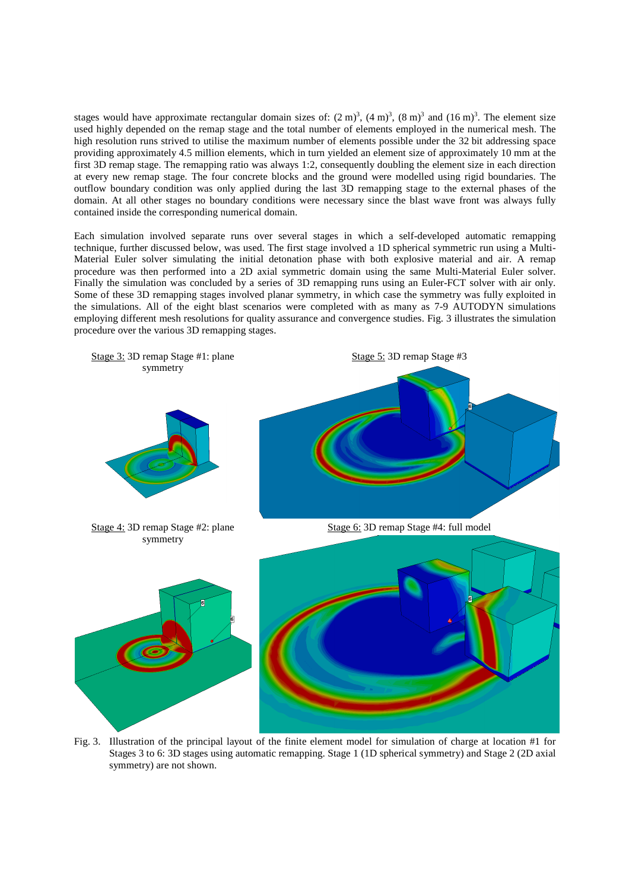stages would have approximate rectangular domain sizes of:  $(2 \text{ m})^3$ ,  $(4 \text{ m})^3$ ,  $(8 \text{ m})^3$  and  $(16 \text{ m})^3$ . The element size used highly depended on the remap stage and the total number of elements employed in the numerical mesh. The high resolution runs strived to utilise the maximum number of elements possible under the 32 bit addressing space providing approximately 4.5 million elements, which in turn yielded an element size of approximately 10 mm at the first 3D remap stage. The remapping ratio was always 1:2, consequently doubling the element size in each direction at every new remap stage. The four concrete blocks and the ground were modelled using rigid boundaries. The outflow boundary condition was only applied during the last 3D remapping stage to the external phases of the domain. At all other stages no boundary conditions were necessary since the blast wave front was always fully contained inside the corresponding numerical domain.

Each simulation involved separate runs over several stages in which a self-developed automatic remapping technique, further discussed below, was used. The first stage involved a 1D spherical symmetric run using a Multi-Material Euler solver simulating the initial detonation phase with both explosive material and air. A remap procedure was then performed into a 2D axial symmetric domain using the same Multi-Material Euler solver. Finally the simulation was concluded by a series of 3D remapping runs using an Euler-FCT solver with air only. Some of these 3D remapping stages involved planar symmetry, in which case the symmetry was fully exploited in the simulations. All of the eight blast scenarios were completed with as many as 7-9 AUTODYN simulations employing different mesh resolutions for quality assurance and convergence studies. Fig. 3 illustrates the simulation procedure over the various 3D remapping stages.



Fig. 3. Illustration of the principal layout of the finite element model for simulation of charge at location #1 for Stages 3 to 6: 3D stages using automatic remapping. Stage 1 (1D spherical symmetry) and Stage 2 (2D axial symmetry) are not shown.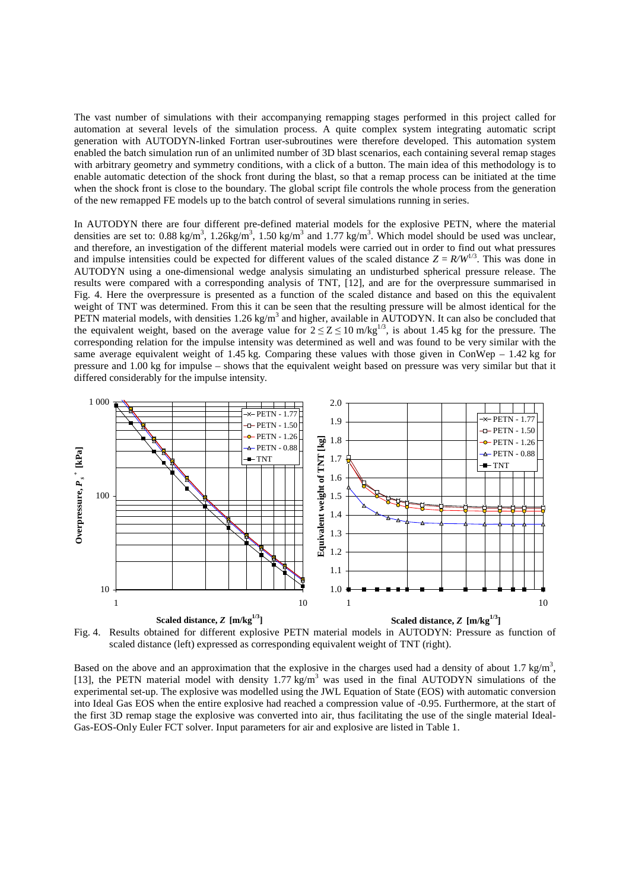The vast number of simulations with their accompanying remapping stages performed in this project called for automation at several levels of the simulation process. A quite complex system integrating automatic script generation with AUTODYN-linked Fortran user-subroutines were therefore developed. This automation system enabled the batch simulation run of an unlimited number of 3D blast scenarios, each containing several remap stages with arbitrary geometry and symmetry conditions, with a click of a button. The main idea of this methodology is to enable automatic detection of the shock front during the blast, so that a remap process can be initiated at the time when the shock front is close to the boundary. The global script file controls the whole process from the generation of the new remapped FE models up to the batch control of several simulations running in series.

In AUTODYN there are four different pre-defined material models for the explosive PETN, where the material densities are set to: 0.88 kg/m<sup>3</sup>, 1.26kg/m<sup>3</sup>, 1.50 kg/m<sup>3</sup> and 1.77 kg/m<sup>3</sup>. Which model should be used was unclear, and therefore, an investigation of the different material models were carried out in order to find out what pressures and impulse intensities could be expected for different values of the scaled distance  $Z = R/W^{1/3}$ . This was done in AUTODYN using a one-dimensional wedge analysis simulating an undisturbed spherical pressure release. The results were compared with a corresponding analysis of TNT, [12], and are for the overpressure summarised in Fig. 4. Here the overpressure is presented as a function of the scaled distance and based on this the equivalent weight of TNT was determined. From this it can be seen that the resulting pressure will be almost identical for the PETN material models, with densities  $1.26 \text{ kg/m}^3$  and higher, available in AUTODYN. It can also be concluded that the equivalent weight, based on the average value for  $2 \le Z \le 10$  m/kg<sup>1/3</sup>, is about 1.45 kg for the pressure. The corresponding relation for the impulse intensity was determined as well and was found to be very similar with the same average equivalent weight of 1.45 kg. Comparing these values with those given in ConWep – 1.42 kg for pressure and 1.00 kg for impulse – shows that the equivalent weight based on pressure was very similar but that it differed considerably for the impulse intensity.



Fig. 4. Results obtained for different explosive PETN material models in AUTODYN: Pressure as function of scaled distance (left) expressed as corresponding equivalent weight of TNT (right).

Based on the above and an approximation that the explosive in the charges used had a density of about 1.7 kg/m<sup>3</sup>, [13], the PETN material model with density 1.77 kg/m<sup>3</sup> was used in the final AUTODYN simulations of the experimental set-up. The explosive was modelled using the JWL Equation of State (EOS) with automatic conversion into Ideal Gas EOS when the entire explosive had reached a compression value of -0.95. Furthermore, at the start of the first 3D remap stage the explosive was converted into air, thus facilitating the use of the single material Ideal-Gas-EOS-Only Euler FCT solver. Input parameters for air and explosive are listed in Table 1.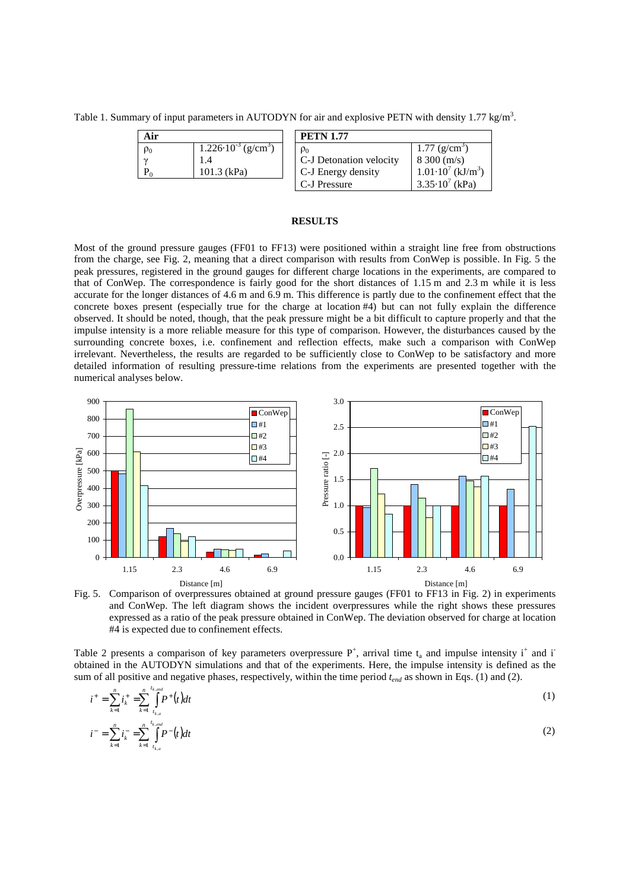Table 1. Summary of input parameters in AUTODYN for air and explosive PETN with density 1.77 kg/m<sup>3</sup>.

| Air      |                                            | <b>PETN 1.77</b>        |                                        |
|----------|--------------------------------------------|-------------------------|----------------------------------------|
| $\rho_0$ | $1.226 \cdot 10^{-3}$ (g/cm <sup>3</sup> ) |                         | $1.77 \text{ (g/cm}^3)$                |
|          |                                            | C-J Detonation velocity | 8300 (m/s)                             |
|          | 101.3 (kPa)                                | C-J Energy density      | $1.01 \cdot 10^7$ (kJ/m <sup>3</sup> ) |
|          |                                            | C-J Pressure            | 3.35 $\cdot$ 10 <sup>7</sup> (kPa)     |

# **RESULTS**

Most of the ground pressure gauges (FF01 to FF13) were positioned within a straight line free from obstructions from the charge, see Fig. 2, meaning that a direct comparison with results from ConWep is possible. In Fig. 5 the peak pressures, registered in the ground gauges for different charge locations in the experiments, are compared to that of ConWep. The correspondence is fairly good for the short distances of 1.15 m and 2.3 m while it is less accurate for the longer distances of 4.6 m and 6.9 m. This difference is partly due to the confinement effect that the concrete boxes present (especially true for the charge at location #4) but can not fully explain the difference observed. It should be noted, though, that the peak pressure might be a bit difficult to capture properly and that the impulse intensity is a more reliable measure for this type of comparison. However, the disturbances caused by the surrounding concrete boxes, i.e. confinement and reflection effects, make such a comparison with ConWep irrelevant. Nevertheless, the results are regarded to be sufficiently close to ConWep to be satisfactory and more detailed information of resulting pressure-time relations from the experiments are presented together with the numerical analyses below.



Fig. 5. Comparison of overpressures obtained at ground pressure gauges (FF01 to FF13 in Fig. 2) in experiments and ConWep. The left diagram shows the incident overpressures while the right shows these pressures expressed as a ratio of the peak pressure obtained in ConWep. The deviation observed for charge at location #4 is expected due to confinement effects.

Table 2 presents a comparison of key parameters overpressure  $P^+$ , arrival time  $t_a$  and impulse intensity i<sup>+</sup> and i obtained in the AUTODYN simulations and that of the experiments. Here, the impulse intensity is defined as the sum of all positive and negative phases, respectively, within the time period *tend* as shown in Eqs. (1) and (2).

$$
i^{+} = \sum_{k=1}^{n} i_{k}^{+} = \sum_{k=1}^{n} \prod_{t_{k,a} \atop t_{k,a}}^{t_{k,end}} P^{+}(t)dt
$$
\n
$$
i^{-} = \sum_{k=1}^{n} i_{k}^{-} = \sum_{t_{k,a}}^{n} \prod_{t_{k,a}}^{t_{k,end}} P^{-}(t)dt
$$
\n(1)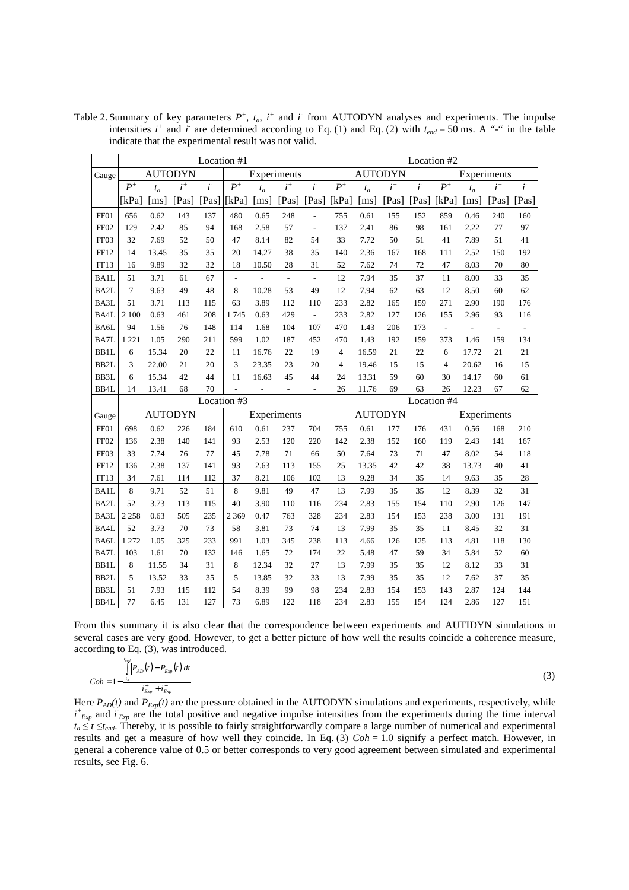|                   | Location #1                   |                    |       |                |                  |                               |                          | Location #2              |                  |                    |             |                |                          |                |                          |                |
|-------------------|-------------------------------|--------------------|-------|----------------|------------------|-------------------------------|--------------------------|--------------------------|------------------|--------------------|-------------|----------------|--------------------------|----------------|--------------------------|----------------|
| Gauge             | <b>AUTODYN</b>                |                    |       |                | Experiments      |                               |                          | <b>AUTODYN</b>           |                  |                    | Experiments |                |                          |                |                          |                |
|                   | $\overline{P^+}$              | $t_a$              | $i^+$ | $\overline{i}$ | $\overline{P^+}$ | $t_a$                         | $i^+$                    | $\overline{i}$           | $\overline{P}^+$ | $t_a$              | $i^+$       | $\overline{i}$ | $P^+$                    | $t_a$          | $\overline{i}^+$         | $\overline{i}$ |
|                   | [kPa]                         | $\lceil ms \rceil$ | [Pas] | [Pas]          | [kPa]            | $\lceil ms \rceil$            | [Pas]                    | [Pas]                    | [kPa]            | $\lceil ms \rceil$ | [Pas]       | [Pas]          | [kPa]                    | [ms]           | [Pas]                    | [Pas]          |
| FF01              | 656                           | 0.62               | 143   | 137            | 480              | 0.65                          | 248                      | $\overline{\phantom{a}}$ | 755              | 0.61               | 155         | 152            | 859                      | 0.46           | 240                      | 160            |
| FF <sub>02</sub>  | 129                           | 2.42               | 85    | 94             | 168              | 2.58                          | 57                       | $\overline{\phantom{a}}$ | 137              | 2.41               | 86          | 98             | 161                      | 2.22           | $77\,$                   | 97             |
| FF <sub>03</sub>  | 32                            | 7.69               | 52    | 50             | 47               | 8.14                          | 82                       | 54                       | 33               | 7.72               | 50          | 51             | 41                       | 7.89           | 51                       | 41             |
| FF12              | 14                            | 13.45              | 35    | 35             | 20               | 14.27                         | 38                       | 35                       | 140              | 2.36               | 167         | 168            | 111                      | 2.52           | 150                      | 192            |
| FF <sub>13</sub>  | 16                            | 9.89               | 32    | 32             | 18               | 10.50                         | 28                       | 31                       | 52               | 7.62               | 74          | 72             | 47                       | 8.03           | 70                       | 80             |
| BA1L              | 51                            | 3.71               | 61    | 67             | $\blacksquare$   | $\overline{a}$                | $\overline{\phantom{a}}$ | $\frac{1}{2}$            | 12               | 7.94               | 35          | 37             | 11                       | 8.00           | 33                       | 35             |
| BA2L              | $\boldsymbol{7}$              | 9.63               | 49    | 48             | 8                | 10.28                         | 53                       | 49                       | 12               | 7.94               | 62          | 63             | 12                       | 8.50           | 60                       | 62             |
| BA3L              | 51                            | 3.71               | 113   | 115            | 63               | 3.89                          | 112                      | 110                      | 233              | 2.82               | 165         | 159            | 271                      | 2.90           | 190                      | 176            |
| BA4L              | 2 1 0 0                       | 0.63               | 461   | 208            | 1745             | 0.63                          | 429                      | $\mathcal{L}$            | 233              | 2.82               | 127         | 126            | 155                      | 2.96           | 93                       | 116            |
| BA6L              | 94                            | 1.56               | 76    | 148            | 114              | 1.68                          | 104                      | 107                      | 470              | 1.43               | 206         | 173            | $\overline{\phantom{a}}$ | $\overline{a}$ | $\overline{\phantom{a}}$ | $\overline{a}$ |
| BA7L              | 1 2 2 1                       | 1.05               | 290   | 211            | 599              | 1.02                          | 187                      | 452                      | 470              | 1.43               | 192         | 159            | 373                      | 1.46           | 159                      | 134            |
| BB1L              | 6                             | 15.34              | 20    | 22             | 11               | 16.76                         | 22                       | 19                       | $\overline{4}$   | 16.59              | 21          | 22             | 6                        | 17.72          | 21                       | 21             |
| BB <sub>2</sub> L | 3                             | 22.00              | 21    | 20             | 3                | 23.35                         | 23                       | 20                       | $\overline{4}$   | 19.46              | 15          | 15             | $\overline{4}$           | 20.62          | 16                       | 15             |
| BB3L              | 6                             | 15.34              | 42    | 44             | 11               | 16.63                         | 45                       | 44                       | 24               | 13.31              | 59          | 60             | 30                       | 14.17          | 60                       | 61             |
| BB4L              | 14                            | 13.41              | 68    | 70             |                  | $\frac{1}{2}$                 | $\overline{\phantom{a}}$ | $\sim$                   | 26               | 11.76              | 69          | 63             | 26                       | 12.23          | 67                       | 62             |
|                   | Location #3                   |                    |       |                |                  |                               | Location #4              |                          |                  |                    |             |                |                          |                |                          |                |
| Gauge             | <b>AUTODYN</b><br>Experiments |                    |       |                |                  | <b>AUTODYN</b><br>Experiments |                          |                          |                  |                    |             |                |                          |                |                          |                |
| FF01              | 698                           | 0.62               | 226   | 184            | 610              | 0.61                          | 237                      | 704                      | 755              | 0.61               | 177         | 176            | 431                      | 0.56           | 168                      | 210            |
| FF <sub>02</sub>  | 136                           | 2.38               | 140   | 141            | 93               | 2.53                          | 120                      | 220                      | 142              | 2.38               | 152         | 160            | 119                      | 2.43           | 141                      | 167            |
| FF <sub>03</sub>  | 33                            | 7.74               | 76    | 77             | 45               | 7.78                          | 71                       | 66                       | 50               | 7.64               | 73          | 71             | 47                       | 8.02           | 54                       | 118            |
| FF12              | 136                           | 2.38               | 137   | 141            | 93               | 2.63                          | 113                      | 155                      | 25               | 13.35              | 42          | 42             | 38                       | 13.73          | 40                       | 41             |
| FF13              | 34                            | 7.61               | 114   | 112            | 37               | 8.21                          | 106                      | 102                      | 13               | 9.28               | 34          | 35             | 14                       | 9.63           | 35                       | 28             |
| BA1L              | 8                             | 9.71               | 52    | 51             | 8                | 9.81                          | 49                       | 47                       | 13               | 7.99               | 35          | 35             | 12                       | 8.39           | 32                       | 31             |
| BA2L              | 52                            | 3.73               | 113   | 115            | 40               | 3.90                          | 110                      | 116                      | 234              | 2.83               | 155         | 154            | 110                      | 2.90           | 126                      | 147            |
| BA3L              | 2 2 5 8                       | 0.63               | 505   | 235            | 2 3 6 9          | 0.47                          | 763                      | 328                      | 234              | 2.83               | 154         | 153            | 238                      | 3.00           | 131                      | 191            |
| BA4L              | 52                            | 3.73               | 70    | 73             | 58               | 3.81                          | 73                       | 74                       | 13               | 7.99               | 35          | 35             | 11                       | 8.45           | 32                       | 31             |
| BA6L              | 1 2 7 2                       | 1.05               | 325   | 233            | 991              | 1.03                          | 345                      | 238                      | 113              | 4.66               | 126         | 125            | 113                      | 4.81           | 118                      | 130            |
| BA7L              | 103                           | 1.61               | 70    | 132            | 146              | 1.65                          | 72                       | 174                      | 22               | 5.48               | 47          | 59             | 34                       | 5.84           | 52                       | 60             |
| BB1L              | 8                             | 11.55              | 34    | 31             | 8                | 12.34                         | 32                       | 27                       | 13               | 7.99               | 35          | 35             | 12                       | 8.12           | 33                       | 31             |
| BB <sub>2</sub> L | 5                             | 13.52              | 33    | 35             | 5                | 13.85                         | 32                       | 33                       | 13               | 7.99               | 35          | 35             | 12                       | 7.62           | 37                       | 35             |
| BB3L              | 51                            | 7.93               | 115   | 112            | 54               | 8.39                          | 99                       | 98                       | 234              | 2.83               | 154         | 153            | 143                      | 2.87           | 124                      | 144            |
| BB4L              | 77                            | 6.45               | 131   | 127            | 73               | 6.89                          | 122                      | 118                      | 234              | 2.83               | 155         | 154            | 124                      | 2.86           | 127                      | 151            |

Table 2. Summary of key parameters  $P^+$ ,  $t_a$ ,  $i^+$  and  $i^-$  from AUTODYN analyses and experiments. The impulse intensities  $i^+$  and  $i^-$  are determined according to Eq. (1) and Eq. (2) with  $t_{end} = 50$  ms. A "-" in the table indicate that the experimental result was not valid.

From this summary it is also clear that the correspondence between experiments and AUTIDYN simulations in several cases are very good. However, to get a better picture of how well the results coincide a coherence measure, according to Eq. (3), was introduced.

$$
Coh = 1 - \frac{\int_{t_a}^{t_{mg}} |P_{AD}(t) - P_{Exp}(t)| dt}{i_{Exp}^+ + i_{Exp}^-}
$$
 (3)

Here  $P_{AD}(t)$  and  $P_{Exp}(t)$  are the pressure obtained in the AUTODYN simulations and experiments, respectively, while  $i^+$ <sub>*Exp*</sub> and  $i^-$ <sub>*Exp*</sub> are the total positive and negative impulse intensities from the experiments during the time interval  $t_a \le t \le t_{end}$ . Thereby, it is possible to fairly straightforwardly compare a large number of numerical and experimental results and get a measure of how well they coincide. In Eq. (3) *Coh* = 1.0 signify a perfect match. However, in general a coherence value of 0.5 or better corresponds to very good agreement between simulated and experimental results, see Fig. 6.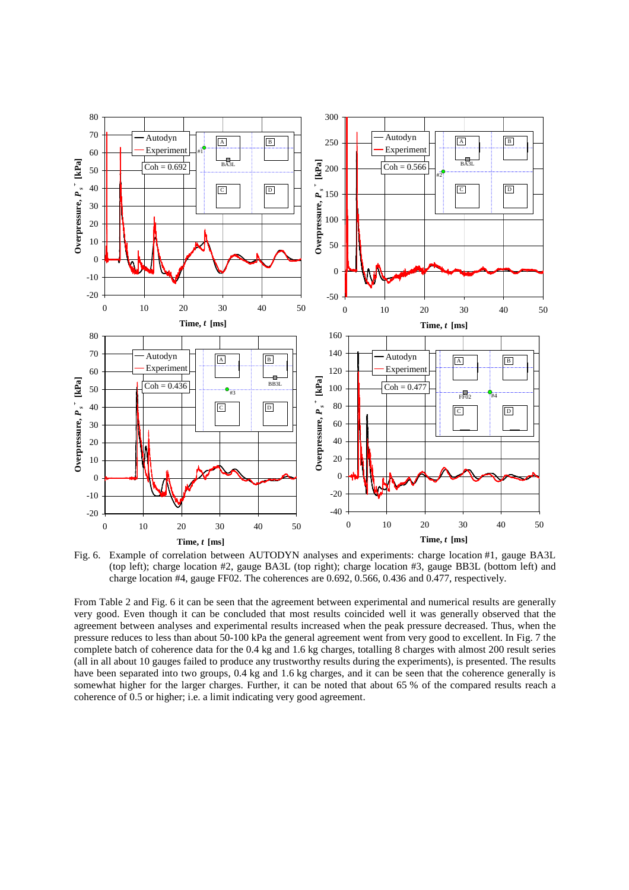

Fig. 6. Example of correlation between AUTODYN analyses and experiments: charge location #1, gauge BA3L (top left); charge location #2, gauge BA3L (top right); charge location #3, gauge BB3L (bottom left) and charge location #4, gauge FF02. The coherences are 0.692, 0.566, 0.436 and 0.477, respectively.

From Table 2 and Fig. 6 it can be seen that the agreement between experimental and numerical results are generally very good. Even though it can be concluded that most results coincided well it was generally observed that the agreement between analyses and experimental results increased when the peak pressure decreased. Thus, when the pressure reduces to less than about 50-100 kPa the general agreement went from very good to excellent. In Fig. 7 the complete batch of coherence data for the 0.4 kg and 1.6 kg charges, totalling 8 charges with almost 200 result series (all in all about 10 gauges failed to produce any trustworthy results during the experiments), is presented. The results have been separated into two groups, 0.4 kg and 1.6 kg charges, and it can be seen that the coherence generally is somewhat higher for the larger charges. Further, it can be noted that about 65 % of the compared results reach a coherence of 0.5 or higher; i.e. a limit indicating very good agreement.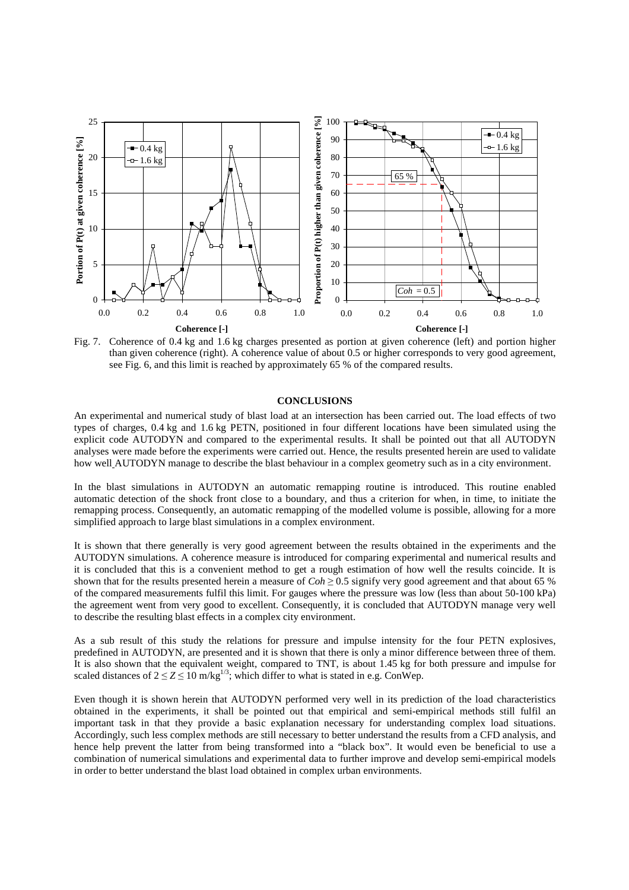

Fig. 7. Coherence of 0.4 kg and 1.6 kg charges presented as portion at given coherence (left) and portion higher than given coherence (right). A coherence value of about 0.5 or higher corresponds to very good agreement, see Fig. 6, and this limit is reached by approximately 65 % of the compared results.

# **CONCLUSIONS**

An experimental and numerical study of blast load at an intersection has been carried out. The load effects of two types of charges, 0.4 kg and 1.6 kg PETN, positioned in four different locations have been simulated using the explicit code AUTODYN and compared to the experimental results. It shall be pointed out that all AUTODYN analyses were made before the experiments were carried out. Hence, the results presented herein are used to validate how well AUTODYN manage to describe the blast behaviour in a complex geometry such as in a city environment.

In the blast simulations in AUTODYN an automatic remapping routine is introduced. This routine enabled automatic detection of the shock front close to a boundary, and thus a criterion for when, in time, to initiate the remapping process. Consequently, an automatic remapping of the modelled volume is possible, allowing for a more simplified approach to large blast simulations in a complex environment.

It is shown that there generally is very good agreement between the results obtained in the experiments and the AUTODYN simulations. A coherence measure is introduced for comparing experimental and numerical results and it is concluded that this is a convenient method to get a rough estimation of how well the results coincide. It is shown that for the results presented herein a measure of *Coh* ≥ 0.5 signify very good agreement and that about 65 % of the compared measurements fulfil this limit. For gauges where the pressure was low (less than about 50-100 kPa) the agreement went from very good to excellent. Consequently, it is concluded that AUTODYN manage very well to describe the resulting blast effects in a complex city environment.

As a sub result of this study the relations for pressure and impulse intensity for the four PETN explosives, predefined in AUTODYN, are presented and it is shown that there is only a minor difference between three of them. It is also shown that the equivalent weight, compared to TNT, is about 1.45 kg for both pressure and impulse for scaled distances of  $2 \le Z \le 10$  m/kg<sup>1/3</sup>; which differ to what is stated in e.g. ConWep.

Even though it is shown herein that AUTODYN performed very well in its prediction of the load characteristics obtained in the experiments, it shall be pointed out that empirical and semi-empirical methods still fulfil an important task in that they provide a basic explanation necessary for understanding complex load situations. Accordingly, such less complex methods are still necessary to better understand the results from a CFD analysis, and hence help prevent the latter from being transformed into a "black box". It would even be beneficial to use a combination of numerical simulations and experimental data to further improve and develop semi-empirical models in order to better understand the blast load obtained in complex urban environments.